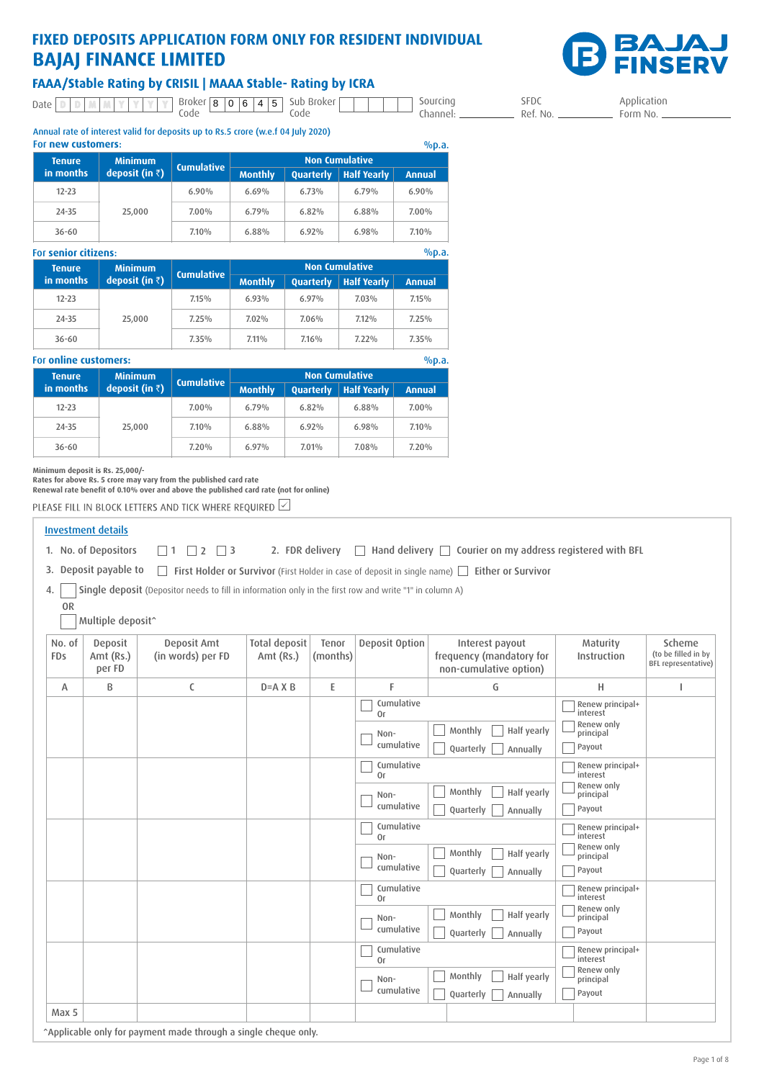# **FIXED DEPOSITS APPLICATION FORM ONLY FOR RESIDENT INDIVIDUAL BAJAJ FINANCE LIMITED**



Application  $-$  Form No.  $-$ 

### FAAA/Stable Rating by CRISIL | MAAA Stable- Rating by ICRA

Date D | D | M | M | Y | Y | Y | Y | Broker<br>Code Sub Broker Code Sourcing Channel: 8 0 6 4 5

SFDC \_ Ref. No. \_\_

Annual rate of interest valid for deposits up to Rs.5 crore (w.e.f 04 July 2020) For **new customers**:

| For new customers:<br>%p.a. |                         |                   |                |           |                       |          |  |
|-----------------------------|-------------------------|-------------------|----------------|-----------|-----------------------|----------|--|
| <b>Tenure</b>               | <b>Minimum</b>          | <b>Cumulative</b> |                |           | <b>Non Cumulative</b> |          |  |
| in months                   | deposit (in $\bar{z}$ ) |                   | <b>Monthly</b> | Quarterly | <b>Half Yearly</b>    | Annual   |  |
| $12 - 23$                   | 25,000                  | 6.90%             | 6.69%          | 6.73%     | 6.79%                 | 6.90%    |  |
| $24 - 35$                   |                         | $7.00\%$          | 6.79%          | 6.82%     | 6.88%                 | $7.00\%$ |  |
| $36 - 60$                   |                         | 7.10%             | 6.88%          | 6.92%     | $6.98\%$              | 7.10%    |  |

| %p.a.<br><b>For senior citizens:</b> |                         |                   |                |           |                       |        |
|--------------------------------------|-------------------------|-------------------|----------------|-----------|-----------------------|--------|
| <b>Tenure</b>                        | <b>Minimum</b>          | <b>Cumulative</b> |                |           | <b>Non Cumulative</b> |        |
| in months                            | deposit (in $\bar{z}$ ) |                   | <b>Monthly</b> | Quarterly | <b>Half Yearly</b>    | Annual |
| $12 - 23$                            | 25,000                  | $7.15\%$          | 6.93%          | 6.97%     | $7.03\%$              | 7.15%  |
| $24 - 35$                            |                         | 7.25%             | 7.02%          | 7.06%     | 7.12%                 | 7.25%  |
| $36 - 60$                            |                         | $7.35\%$          | $7.11\%$       | 7.16%     | $7.22\%$              | 7.35%  |

| For online customers:<br>%p.a. |                         |                   |                |           |                       |          |
|--------------------------------|-------------------------|-------------------|----------------|-----------|-----------------------|----------|
| <b>Tenure</b>                  | <b>Minimum</b>          | <b>Cumulative</b> |                |           | <b>Non Cumulative</b> |          |
| in months                      | deposit (in $\bar{z}$ ) |                   | <b>Monthly</b> | Quarterly | <b>Half Yearly</b>    | Annual   |
| $12 - 23$                      | 25,000                  | $7.00\%$          | 6.79%          | 6.82%     | $6.88\%$              | $7.00\%$ |
| 24-35                          |                         | $7.10\%$          | 6.88%          | $6.92\%$  | $6.98\%$              | $7.10\%$ |
| $36 - 60$                      |                         | 7.20%             | 6.97%          | 7.01%     | 7.08%                 | 7.20%    |

Minimum deposit is Rs. 25,000/-<br>Rates for above Rs. 5 crore may vary from the published card rate<br>Renewal rate benefit of 0.10% over and above the published card rate (not for online)

PLEASE FILL IN BLOCK LETTERS AND TICK WHERE REQUIRED  $\boxdot$ 

|               | <b>Investment details</b>      |                                                                                                         |                                   |                   |                    |                                                                                                   |                                   |                                                             |
|---------------|--------------------------------|---------------------------------------------------------------------------------------------------------|-----------------------------------|-------------------|--------------------|---------------------------------------------------------------------------------------------------|-----------------------------------|-------------------------------------------------------------|
|               | 1. No. of Depositors           | $\overline{2}$<br>$\Box$ 3<br>$\square$ 1<br>$\Box$                                                     | 2. FDR delivery                   |                   | $\Box$             | Hand delivery $\Box$ Courier on my address registered with BFL                                    |                                   |                                                             |
|               | 3. Deposit payable to          |                                                                                                         |                                   |                   |                    | First Holder or Survivor (First Holder in case of deposit in single name) First Price or Survivor |                                   |                                                             |
| 4.            |                                | Single deposit (Depositor needs to fill in information only in the first row and write "1" in column A) |                                   |                   |                    |                                                                                                   |                                   |                                                             |
| <b>OR</b>     | Multiple deposit^              |                                                                                                         |                                   |                   |                    |                                                                                                   |                                   |                                                             |
| No. of<br>FDs | Deposit<br>Amt (Rs.)<br>per FD | Deposit Amt<br>(in words) per FD                                                                        | <b>Total deposit</b><br>Amt (Rs.) | Tenor<br>(months) | Deposit Option     | Interest payout<br>frequency (mandatory for<br>non-cumulative option)                             | Maturity<br>Instruction           | Scheme<br>(to be filled in by<br><b>BFL</b> representative) |
| Α             | B                              | $\mathsf{C}$                                                                                            | $D = A X B$                       | E                 | F                  | G                                                                                                 | H                                 | T.                                                          |
|               |                                |                                                                                                         |                                   |                   | Cumulative<br>0r   |                                                                                                   | Renew principal+<br>interest      |                                                             |
|               |                                |                                                                                                         |                                   |                   | Non-<br>cumulative | Monthly<br>Half yearly<br>Quarterly<br>Annually                                                   | Renew only<br>principal<br>Payout |                                                             |
|               |                                |                                                                                                         |                                   |                   | Cumulative<br>0r   |                                                                                                   | Renew principal+<br>interest      |                                                             |
|               |                                |                                                                                                         |                                   |                   | Non-<br>cumulative | Monthly<br>Half yearly<br>Quarterly<br>Annually                                                   | Renew only<br>principal<br>Payout |                                                             |
|               |                                |                                                                                                         |                                   |                   | Cumulative<br>0r   |                                                                                                   | Renew principal+<br>interest      |                                                             |
|               |                                |                                                                                                         |                                   |                   | Non-<br>cumulative | Monthly<br>Half yearly<br>Quarterly<br>Annually                                                   | Renew only<br>principal<br>Payout |                                                             |
|               |                                |                                                                                                         |                                   |                   | Cumulative<br>0r   |                                                                                                   | Renew principal+<br>interest      |                                                             |
|               |                                |                                                                                                         |                                   |                   | Non-<br>cumulative | Monthly<br>Half yearly<br>Quarterly<br>Annually                                                   | Renew only<br>principal<br>Payout |                                                             |
|               |                                |                                                                                                         |                                   |                   | Cumulative<br>0r   |                                                                                                   | Renew principal+<br>interest      |                                                             |
|               |                                |                                                                                                         |                                   |                   | Non-<br>cumulative | Monthly<br>Half yearly<br>Quarterly<br>Annually                                                   | Renew only<br>principal<br>Payout |                                                             |
| Max 5         |                                |                                                                                                         |                                   |                   |                    |                                                                                                   |                                   |                                                             |

^Applicable only for payment made through a single cheque only.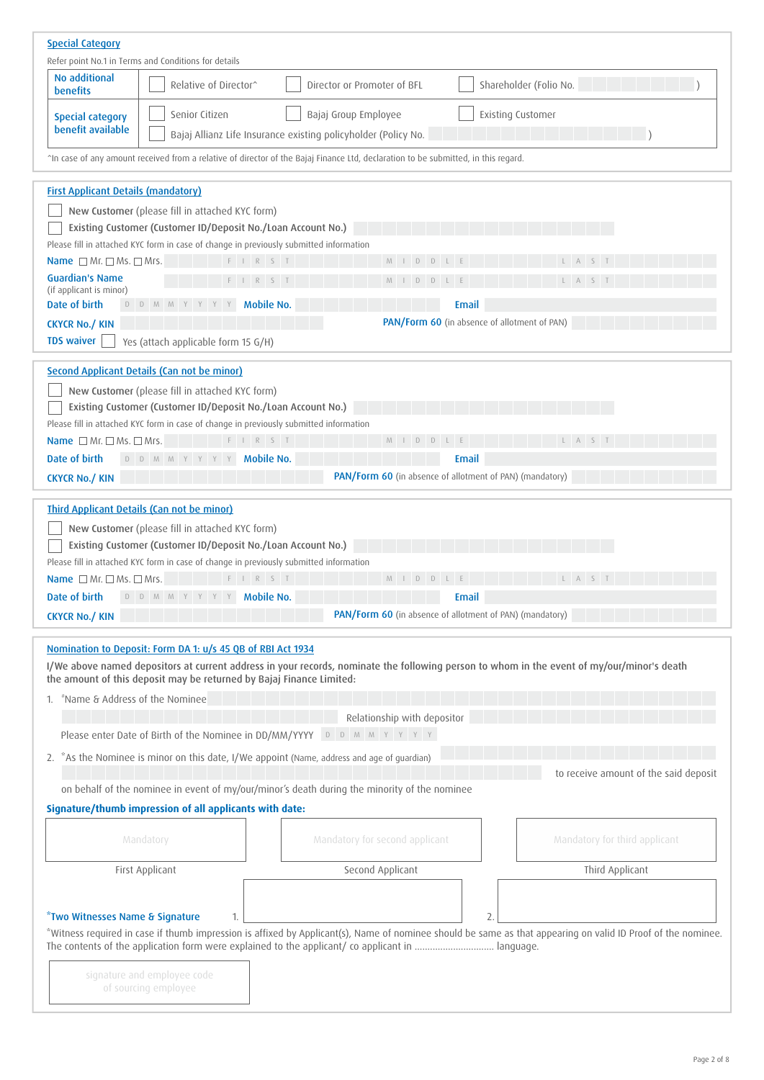| <b>Special Category</b>                                               |                                                                                                                 |                                                                                                                                   |                                                                                                                                                              |  |  |  |
|-----------------------------------------------------------------------|-----------------------------------------------------------------------------------------------------------------|-----------------------------------------------------------------------------------------------------------------------------------|--------------------------------------------------------------------------------------------------------------------------------------------------------------|--|--|--|
| Refer point No.1 in Terms and Conditions for details<br>No additional |                                                                                                                 |                                                                                                                                   |                                                                                                                                                              |  |  |  |
| <b>benefits</b>                                                       | Relative of Director <sup>^</sup>                                                                               | Director or Promoter of BFL                                                                                                       | Shareholder (Folio No.                                                                                                                                       |  |  |  |
| <b>Special category</b><br>benefit available                          | Senior Citizen                                                                                                  | Bajaj Group Employee                                                                                                              | Existing Customer                                                                                                                                            |  |  |  |
|                                                                       |                                                                                                                 | Bajaj Allianz Life Insurance existing policyholder (Policy No.                                                                    |                                                                                                                                                              |  |  |  |
|                                                                       |                                                                                                                 | Th case of any amount received from a relative of director of the Bajaj Finance Ltd, declaration to be submitted, in this regard. |                                                                                                                                                              |  |  |  |
| <b>First Applicant Details (mandatory)</b>                            |                                                                                                                 |                                                                                                                                   |                                                                                                                                                              |  |  |  |
|                                                                       | New Customer (please fill in attached KYC form)                                                                 |                                                                                                                                   |                                                                                                                                                              |  |  |  |
|                                                                       | Existing Customer (Customer ID/Deposit No./Loan Account No.)                                                    |                                                                                                                                   |                                                                                                                                                              |  |  |  |
|                                                                       | Please fill in attached KYC form in case of change in previously submitted information                          |                                                                                                                                   |                                                                                                                                                              |  |  |  |
| Name $\Box$ Mr. $\Box$ Ms. $\Box$ Mrs.                                | $F \quad I \quad R \quad S \quad T$                                                                             | $M I D D L E$                                                                                                                     | L A S T                                                                                                                                                      |  |  |  |
| <b>Guardian's Name</b><br>(if applicant is minor)                     | $F \quad   \quad R \quad S \quad T$                                                                             | $M I D D L E$                                                                                                                     | L A S T                                                                                                                                                      |  |  |  |
| Date of birth                                                         | D D M M Y Y Y Y<br><b>Mobile No.</b>                                                                            |                                                                                                                                   | <b>Email</b>                                                                                                                                                 |  |  |  |
| <b>CKYCR No./ KIN</b>                                                 |                                                                                                                 |                                                                                                                                   | PAN/Form 60 (in absence of allotment of PAN)                                                                                                                 |  |  |  |
| <b>TDS waiver</b>                                                     | Yes (attach applicable form 15 G/H)                                                                             |                                                                                                                                   |                                                                                                                                                              |  |  |  |
|                                                                       | <b>Second Applicant Details (Can not be minor)</b>                                                              |                                                                                                                                   |                                                                                                                                                              |  |  |  |
|                                                                       |                                                                                                                 |                                                                                                                                   |                                                                                                                                                              |  |  |  |
|                                                                       | New Customer (please fill in attached KYC form)<br>Existing Customer (Customer ID/Deposit No./Loan Account No.) |                                                                                                                                   |                                                                                                                                                              |  |  |  |
|                                                                       | Please fill in attached KYC form in case of change in previously submitted information                          |                                                                                                                                   |                                                                                                                                                              |  |  |  |
| Name $\Box$ Mr. $\Box$ Ms. $\Box$ Mrs.                                | F I R S T                                                                                                       | $L$ $E$<br>M<br>D<br>D                                                                                                            |                                                                                                                                                              |  |  |  |
| Date of birth                                                         | D D M M Y Y Y Y<br><b>Mobile No.</b>                                                                            |                                                                                                                                   | <b>Email</b>                                                                                                                                                 |  |  |  |
| <b>CKYCR No./ KIN</b>                                                 |                                                                                                                 | PAN/Form 60 (in absence of allotment of PAN) (mandatory)                                                                          |                                                                                                                                                              |  |  |  |
|                                                                       |                                                                                                                 |                                                                                                                                   |                                                                                                                                                              |  |  |  |
|                                                                       | <b>Third Applicant Details (Can not be minor)</b>                                                               |                                                                                                                                   |                                                                                                                                                              |  |  |  |
|                                                                       | New Customer (please fill in attached KYC form)                                                                 |                                                                                                                                   |                                                                                                                                                              |  |  |  |
|                                                                       | Existing Customer (Customer ID/Deposit No./Loan Account No.)                                                    |                                                                                                                                   |                                                                                                                                                              |  |  |  |
|                                                                       | Please fill in attached KYC form in case of change in previously submitted information                          |                                                                                                                                   |                                                                                                                                                              |  |  |  |
| Name $\Box$ Mr. $\Box$ Ms. $\Box$ Mrs.                                | F I R S T                                                                                                       | DLE<br>$M$  <br>D                                                                                                                 | LA S                                                                                                                                                         |  |  |  |
| Date of birth                                                         | D D M M Y Y Y Y<br><b>Mobile No.</b>                                                                            |                                                                                                                                   | Email                                                                                                                                                        |  |  |  |
| <b>CKYCR No./ KIN</b>                                                 |                                                                                                                 | PAN/Form 60 (in absence of allotment of PAN) (mandatory)                                                                          |                                                                                                                                                              |  |  |  |
|                                                                       | Nomination to Deposit: Form DA 1: u/s 45 QB of RBI Act 1934                                                     |                                                                                                                                   |                                                                                                                                                              |  |  |  |
|                                                                       | the amount of this deposit may be returned by Bajaj Finance Limited:                                            |                                                                                                                                   | I/We above named depositors at current address in your records, nominate the following person to whom in the event of my/our/minor's death                   |  |  |  |
| "Name & Address of the Nominee<br>1.                                  |                                                                                                                 |                                                                                                                                   |                                                                                                                                                              |  |  |  |
|                                                                       |                                                                                                                 | Relationship with depositor                                                                                                       |                                                                                                                                                              |  |  |  |
|                                                                       | Please enter Date of Birth of the Nominee in DD/MM/YYYY                                                         | D D M M Y Y Y Y                                                                                                                   |                                                                                                                                                              |  |  |  |
|                                                                       |                                                                                                                 | 2. *As the Nominee is minor on this date, I/We appoint (Name, address and age of guardian)                                        | to receive amount of the said deposit                                                                                                                        |  |  |  |
|                                                                       |                                                                                                                 | on behalf of the nominee in event of my/our/minor's death during the minority of the nominee                                      |                                                                                                                                                              |  |  |  |
|                                                                       | Signature/thumb impression of all applicants with date:                                                         |                                                                                                                                   |                                                                                                                                                              |  |  |  |
|                                                                       |                                                                                                                 |                                                                                                                                   |                                                                                                                                                              |  |  |  |
|                                                                       | Mandatory                                                                                                       | Mandatory for second applicant                                                                                                    | Mandatory for third applicant                                                                                                                                |  |  |  |
|                                                                       | First Applicant                                                                                                 | Second Applicant                                                                                                                  | Third Applicant                                                                                                                                              |  |  |  |
|                                                                       |                                                                                                                 |                                                                                                                                   |                                                                                                                                                              |  |  |  |
|                                                                       |                                                                                                                 |                                                                                                                                   |                                                                                                                                                              |  |  |  |
| *Two Witnesses Name & Signature                                       |                                                                                                                 |                                                                                                                                   | *Witness required in case if thumb impression is affixed by Applicant(s), Name of nominee should be same as that appearing on valid ID Proof of the nominee. |  |  |  |
|                                                                       |                                                                                                                 |                                                                                                                                   |                                                                                                                                                              |  |  |  |
|                                                                       |                                                                                                                 |                                                                                                                                   |                                                                                                                                                              |  |  |  |
|                                                                       | signature and employee code                                                                                     |                                                                                                                                   |                                                                                                                                                              |  |  |  |
|                                                                       | of sourcing employee                                                                                            |                                                                                                                                   |                                                                                                                                                              |  |  |  |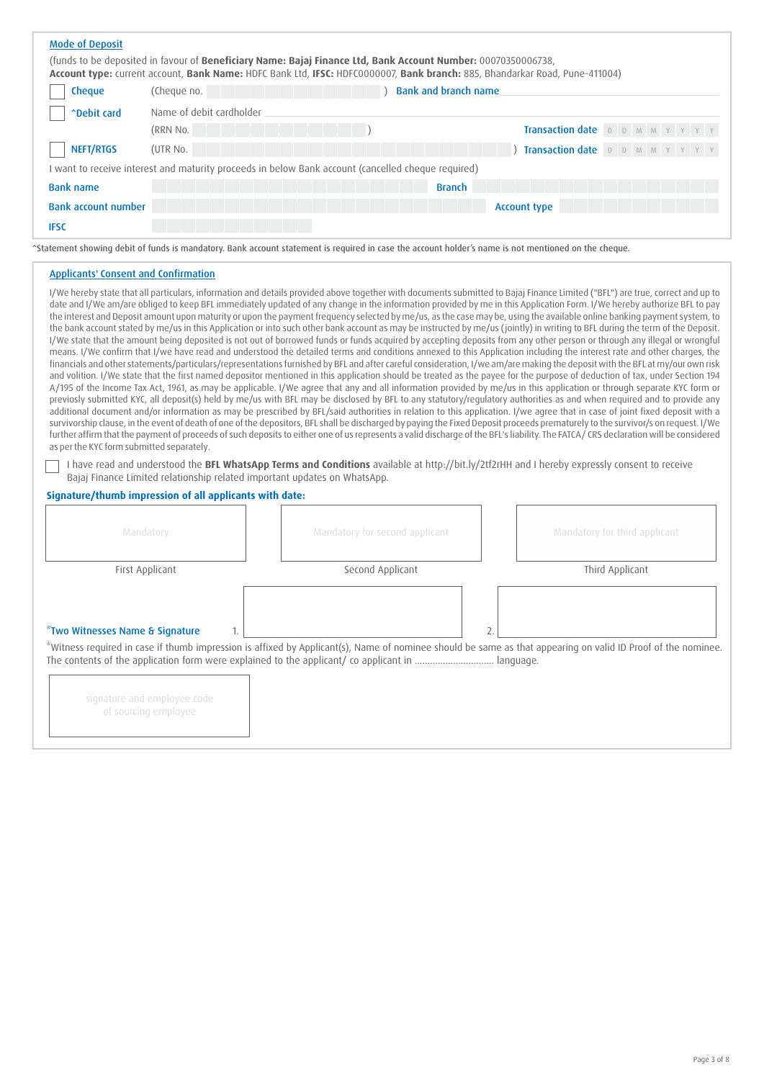| <b>Mode of Deposit</b>                                                                   |                                                                                                                                                                                                                                              |                                                                                                                                                                                                                                                                                                                                                                                                                                                                                                                                                                                                                                                                                                                                                                                                                                                                                                                                                                                                                                                                                                                                                                                                                                                                                                                                                                                                                                                                                                                                                                                                                                                                                                                                                                                                                                                                                                                                                                                                                                                                                                                                                                                                                                                                                                                                                                                                                                                                                                           |  |  |  |
|------------------------------------------------------------------------------------------|----------------------------------------------------------------------------------------------------------------------------------------------------------------------------------------------------------------------------------------------|-----------------------------------------------------------------------------------------------------------------------------------------------------------------------------------------------------------------------------------------------------------------------------------------------------------------------------------------------------------------------------------------------------------------------------------------------------------------------------------------------------------------------------------------------------------------------------------------------------------------------------------------------------------------------------------------------------------------------------------------------------------------------------------------------------------------------------------------------------------------------------------------------------------------------------------------------------------------------------------------------------------------------------------------------------------------------------------------------------------------------------------------------------------------------------------------------------------------------------------------------------------------------------------------------------------------------------------------------------------------------------------------------------------------------------------------------------------------------------------------------------------------------------------------------------------------------------------------------------------------------------------------------------------------------------------------------------------------------------------------------------------------------------------------------------------------------------------------------------------------------------------------------------------------------------------------------------------------------------------------------------------------------------------------------------------------------------------------------------------------------------------------------------------------------------------------------------------------------------------------------------------------------------------------------------------------------------------------------------------------------------------------------------------------------------------------------------------------------------------------------------------|--|--|--|
|                                                                                          | (funds to be deposited in favour of Beneficiary Name: Bajaj Finance Ltd, Bank Account Number: 00070350006738,<br>Account type: current account, Bank Name: HDFC Bank Ltd, IFSC: HDFC0000007, Bank branch: 885, Bhandarkar Road, Pune-411004) |                                                                                                                                                                                                                                                                                                                                                                                                                                                                                                                                                                                                                                                                                                                                                                                                                                                                                                                                                                                                                                                                                                                                                                                                                                                                                                                                                                                                                                                                                                                                                                                                                                                                                                                                                                                                                                                                                                                                                                                                                                                                                                                                                                                                                                                                                                                                                                                                                                                                                                           |  |  |  |
| <b>Bank and branch name</b><br>Cheque<br>(Cheque no.                                     |                                                                                                                                                                                                                                              |                                                                                                                                                                                                                                                                                                                                                                                                                                                                                                                                                                                                                                                                                                                                                                                                                                                                                                                                                                                                                                                                                                                                                                                                                                                                                                                                                                                                                                                                                                                                                                                                                                                                                                                                                                                                                                                                                                                                                                                                                                                                                                                                                                                                                                                                                                                                                                                                                                                                                                           |  |  |  |
| <b>"Debit card</b>                                                                       | Name of debit cardholder                                                                                                                                                                                                                     |                                                                                                                                                                                                                                                                                                                                                                                                                                                                                                                                                                                                                                                                                                                                                                                                                                                                                                                                                                                                                                                                                                                                                                                                                                                                                                                                                                                                                                                                                                                                                                                                                                                                                                                                                                                                                                                                                                                                                                                                                                                                                                                                                                                                                                                                                                                                                                                                                                                                                                           |  |  |  |
| (RRN No.                                                                                 |                                                                                                                                                                                                                                              | Transaction date D D M M Y Y Y                                                                                                                                                                                                                                                                                                                                                                                                                                                                                                                                                                                                                                                                                                                                                                                                                                                                                                                                                                                                                                                                                                                                                                                                                                                                                                                                                                                                                                                                                                                                                                                                                                                                                                                                                                                                                                                                                                                                                                                                                                                                                                                                                                                                                                                                                                                                                                                                                                                                            |  |  |  |
| NEFT/RTGS<br>(UTR No.                                                                    |                                                                                                                                                                                                                                              | Transaction date D D M M Y Y Y                                                                                                                                                                                                                                                                                                                                                                                                                                                                                                                                                                                                                                                                                                                                                                                                                                                                                                                                                                                                                                                                                                                                                                                                                                                                                                                                                                                                                                                                                                                                                                                                                                                                                                                                                                                                                                                                                                                                                                                                                                                                                                                                                                                                                                                                                                                                                                                                                                                                            |  |  |  |
|                                                                                          | I want to receive interest and maturity proceeds in below Bank account (cancelled cheque required)                                                                                                                                           |                                                                                                                                                                                                                                                                                                                                                                                                                                                                                                                                                                                                                                                                                                                                                                                                                                                                                                                                                                                                                                                                                                                                                                                                                                                                                                                                                                                                                                                                                                                                                                                                                                                                                                                                                                                                                                                                                                                                                                                                                                                                                                                                                                                                                                                                                                                                                                                                                                                                                                           |  |  |  |
| <b>Bank name</b>                                                                         |                                                                                                                                                                                                                                              | <b>Branch</b>                                                                                                                                                                                                                                                                                                                                                                                                                                                                                                                                                                                                                                                                                                                                                                                                                                                                                                                                                                                                                                                                                                                                                                                                                                                                                                                                                                                                                                                                                                                                                                                                                                                                                                                                                                                                                                                                                                                                                                                                                                                                                                                                                                                                                                                                                                                                                                                                                                                                                             |  |  |  |
| <b>Bank account number</b>                                                               |                                                                                                                                                                                                                                              | <b>Account type</b>                                                                                                                                                                                                                                                                                                                                                                                                                                                                                                                                                                                                                                                                                                                                                                                                                                                                                                                                                                                                                                                                                                                                                                                                                                                                                                                                                                                                                                                                                                                                                                                                                                                                                                                                                                                                                                                                                                                                                                                                                                                                                                                                                                                                                                                                                                                                                                                                                                                                                       |  |  |  |
| <b>IFSC</b>                                                                              |                                                                                                                                                                                                                                              |                                                                                                                                                                                                                                                                                                                                                                                                                                                                                                                                                                                                                                                                                                                                                                                                                                                                                                                                                                                                                                                                                                                                                                                                                                                                                                                                                                                                                                                                                                                                                                                                                                                                                                                                                                                                                                                                                                                                                                                                                                                                                                                                                                                                                                                                                                                                                                                                                                                                                                           |  |  |  |
|                                                                                          | Statement showing debit of funds is mandatory. Bank account statement is required in case the account holder's name is not mentioned on the cheque.                                                                                          |                                                                                                                                                                                                                                                                                                                                                                                                                                                                                                                                                                                                                                                                                                                                                                                                                                                                                                                                                                                                                                                                                                                                                                                                                                                                                                                                                                                                                                                                                                                                                                                                                                                                                                                                                                                                                                                                                                                                                                                                                                                                                                                                                                                                                                                                                                                                                                                                                                                                                                           |  |  |  |
| <b>Applicants' Consent and Confirmation</b><br>as per the KYC form submitted separately. |                                                                                                                                                                                                                                              | I/We hereby state that all particulars, information and details provided above together with documents submitted to Bajaj Finance Limited ("BFL") are true, correct and up to<br>date and I/We am/are obliged to keep BFL immediately updated of any change in the information provided by me in this Application Form. I/We hereby authorize BFL to pay<br>the interest and Deposit amount upon maturity or upon the payment frequency selected by me/us, as the case may be, using the available online banking payment system, to<br>the bank account stated by me/us in this Application or into such other bank account as may be instructed by me/us (jointly) in writing to BFL during the term of the Deposit.<br>I/We state that the amount being deposited is not out of borrowed funds or funds acquired by accepting deposits from any other person or through any illegal or wrongful<br>means. I/We confirm that I/we have read and understood the detailed terms and conditions annexed to this Application including the interest rate and other charges, the<br>financials and other statements/particulars/representations furnished by BFL and after careful consideration, I/we am/are making the deposit with the BFL at my/our own risk<br>and volition. I/We state that the first named depositor mentioned in this application should be treated as the payee for the purpose of deduction of tax, under Section 194<br>A/195 of the Income Tax Act, 1961, as may be applicable. I/We agree that any and all information provided by me/us in this application or through separate KYC form or<br>previosly submitted KYC, all deposit(s) held by me/us with BFL may be disclosed by BFL to any statutory/regulatory authorities as and when required and to provide any<br>additional document and/or information as may be prescribed by BFL/said authorities in relation to this application. I/we agree that in case of joint fixed deposit with a<br>survivorship clause, in the event of death of one of the depositors, BFL shall be discharged by paying the Fixed Deposit proceeds prematurely to the survivor/s on request. I/We<br>further affirm that the payment of proceeds of such deposits to either one of us represents a valid discharge of the BFL's liability. The FATCA/CRS declaration will be considered<br>I have read and understood the BFL WhatsApp Terms and Conditions available at http://bit.ly/2tf2rHH and I hereby expressly consent to receive |  |  |  |
|                                                                                          | Bajaj Finance Limited relationship related important updates on WhatsApp.                                                                                                                                                                    |                                                                                                                                                                                                                                                                                                                                                                                                                                                                                                                                                                                                                                                                                                                                                                                                                                                                                                                                                                                                                                                                                                                                                                                                                                                                                                                                                                                                                                                                                                                                                                                                                                                                                                                                                                                                                                                                                                                                                                                                                                                                                                                                                                                                                                                                                                                                                                                                                                                                                                           |  |  |  |
| Signature/thumb impression of all applicants with date:                                  |                                                                                                                                                                                                                                              |                                                                                                                                                                                                                                                                                                                                                                                                                                                                                                                                                                                                                                                                                                                                                                                                                                                                                                                                                                                                                                                                                                                                                                                                                                                                                                                                                                                                                                                                                                                                                                                                                                                                                                                                                                                                                                                                                                                                                                                                                                                                                                                                                                                                                                                                                                                                                                                                                                                                                                           |  |  |  |
| Mandatory                                                                                | Mandatory for second applicant                                                                                                                                                                                                               | Mandatory for third applicant                                                                                                                                                                                                                                                                                                                                                                                                                                                                                                                                                                                                                                                                                                                                                                                                                                                                                                                                                                                                                                                                                                                                                                                                                                                                                                                                                                                                                                                                                                                                                                                                                                                                                                                                                                                                                                                                                                                                                                                                                                                                                                                                                                                                                                                                                                                                                                                                                                                                             |  |  |  |
| First Applicant                                                                          | Second Applicant                                                                                                                                                                                                                             | Third Applicant                                                                                                                                                                                                                                                                                                                                                                                                                                                                                                                                                                                                                                                                                                                                                                                                                                                                                                                                                                                                                                                                                                                                                                                                                                                                                                                                                                                                                                                                                                                                                                                                                                                                                                                                                                                                                                                                                                                                                                                                                                                                                                                                                                                                                                                                                                                                                                                                                                                                                           |  |  |  |
|                                                                                          |                                                                                                                                                                                                                                              |                                                                                                                                                                                                                                                                                                                                                                                                                                                                                                                                                                                                                                                                                                                                                                                                                                                                                                                                                                                                                                                                                                                                                                                                                                                                                                                                                                                                                                                                                                                                                                                                                                                                                                                                                                                                                                                                                                                                                                                                                                                                                                                                                                                                                                                                                                                                                                                                                                                                                                           |  |  |  |

### \*Two Witnesses Name & Signature

\*Witness required in case if thumb impression is affixed by Applicant(s), Name of nominee should be same as that appearing on valid ID Proof of the nominee. The contents of the application form were explained to the applicant/ co applicant in ............................... language.

1.  $\vert$  2.

| signature and employee code |
|-----------------------------|
| of sourcing employee        |
|                             |
|                             |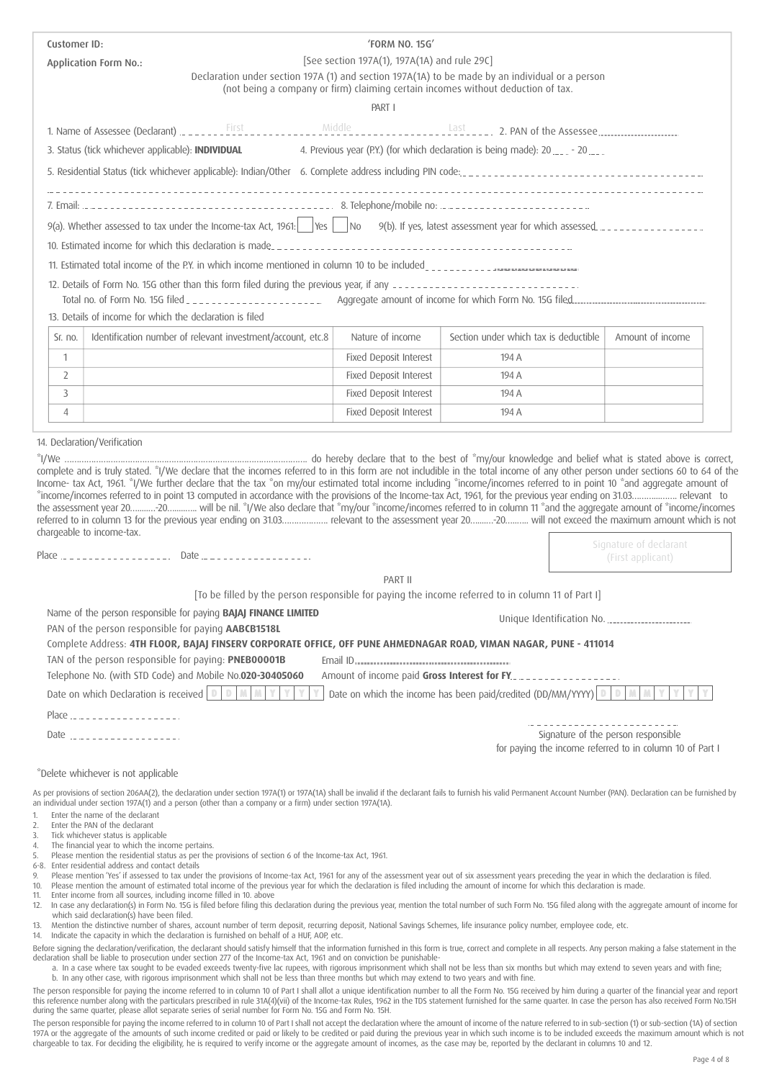|                                  | Customer ID:   |                                                                                                                                                                                                                                                                                                                                                                                                                                                                                                                                                                                                                                                                                                                                                                                                                                                                            | 'FORM NO. 15G'                               |                                                                                                                                                                                     |                                                                                                 |
|----------------------------------|----------------|----------------------------------------------------------------------------------------------------------------------------------------------------------------------------------------------------------------------------------------------------------------------------------------------------------------------------------------------------------------------------------------------------------------------------------------------------------------------------------------------------------------------------------------------------------------------------------------------------------------------------------------------------------------------------------------------------------------------------------------------------------------------------------------------------------------------------------------------------------------------------|----------------------------------------------|-------------------------------------------------------------------------------------------------------------------------------------------------------------------------------------|-------------------------------------------------------------------------------------------------|
|                                  |                | <b>Application Form No.:</b>                                                                                                                                                                                                                                                                                                                                                                                                                                                                                                                                                                                                                                                                                                                                                                                                                                               | [See section 197A(1), 197A(1A) and rule 29C] |                                                                                                                                                                                     |                                                                                                 |
|                                  |                |                                                                                                                                                                                                                                                                                                                                                                                                                                                                                                                                                                                                                                                                                                                                                                                                                                                                            |                                              | Declaration under section 197A (1) and section 197A(1A) to be made by an individual or a person<br>(not being a company or firm) claiming certain incomes without deduction of tax. |                                                                                                 |
|                                  |                |                                                                                                                                                                                                                                                                                                                                                                                                                                                                                                                                                                                                                                                                                                                                                                                                                                                                            | PART I                                       |                                                                                                                                                                                     |                                                                                                 |
|                                  |                |                                                                                                                                                                                                                                                                                                                                                                                                                                                                                                                                                                                                                                                                                                                                                                                                                                                                            |                                              |                                                                                                                                                                                     |                                                                                                 |
|                                  |                | 3. Status (tick whichever applicable): INDIVIDUAL                                                                                                                                                                                                                                                                                                                                                                                                                                                                                                                                                                                                                                                                                                                                                                                                                          |                                              | 4. Previous year (P.Y.) (for which declaration is being made): 20  - 20                                                                                                             |                                                                                                 |
|                                  |                |                                                                                                                                                                                                                                                                                                                                                                                                                                                                                                                                                                                                                                                                                                                                                                                                                                                                            |                                              |                                                                                                                                                                                     |                                                                                                 |
|                                  |                | 5. Residential Status (tick whichever applicable): Indian/Other 6. Complete address including PIN code:                                                                                                                                                                                                                                                                                                                                                                                                                                                                                                                                                                                                                                                                                                                                                                    |                                              |                                                                                                                                                                                     |                                                                                                 |
|                                  |                |                                                                                                                                                                                                                                                                                                                                                                                                                                                                                                                                                                                                                                                                                                                                                                                                                                                                            |                                              |                                                                                                                                                                                     |                                                                                                 |
|                                  |                |                                                                                                                                                                                                                                                                                                                                                                                                                                                                                                                                                                                                                                                                                                                                                                                                                                                                            |                                              |                                                                                                                                                                                     |                                                                                                 |
|                                  |                | 10. Estimated income for which this declaration is made                                                                                                                                                                                                                                                                                                                                                                                                                                                                                                                                                                                                                                                                                                                                                                                                                    |                                              |                                                                                                                                                                                     |                                                                                                 |
|                                  |                | 11. Estimated total income of the P.Y. in which income mentioned in column 10 to be included                                                                                                                                                                                                                                                                                                                                                                                                                                                                                                                                                                                                                                                                                                                                                                               |                                              |                                                                                                                                                                                     |                                                                                                 |
|                                  |                |                                                                                                                                                                                                                                                                                                                                                                                                                                                                                                                                                                                                                                                                                                                                                                                                                                                                            |                                              |                                                                                                                                                                                     |                                                                                                 |
|                                  |                |                                                                                                                                                                                                                                                                                                                                                                                                                                                                                                                                                                                                                                                                                                                                                                                                                                                                            |                                              |                                                                                                                                                                                     |                                                                                                 |
|                                  |                | 13. Details of income for which the declaration is filed                                                                                                                                                                                                                                                                                                                                                                                                                                                                                                                                                                                                                                                                                                                                                                                                                   |                                              |                                                                                                                                                                                     |                                                                                                 |
|                                  | Sr. no.        | Identification number of relevant investment/account, etc.8                                                                                                                                                                                                                                                                                                                                                                                                                                                                                                                                                                                                                                                                                                                                                                                                                | Nature of income                             | Section under which tax is deductible                                                                                                                                               | Amount of income                                                                                |
|                                  | $\mathbf{1}$   |                                                                                                                                                                                                                                                                                                                                                                                                                                                                                                                                                                                                                                                                                                                                                                                                                                                                            | <b>Fixed Deposit Interest</b>                | 194 A                                                                                                                                                                               |                                                                                                 |
|                                  | $\overline{2}$ |                                                                                                                                                                                                                                                                                                                                                                                                                                                                                                                                                                                                                                                                                                                                                                                                                                                                            | Fixed Deposit Interest                       | 194 A                                                                                                                                                                               |                                                                                                 |
|                                  | 3              |                                                                                                                                                                                                                                                                                                                                                                                                                                                                                                                                                                                                                                                                                                                                                                                                                                                                            | Fixed Deposit Interest                       | 194 A                                                                                                                                                                               |                                                                                                 |
|                                  | $\overline{4}$ |                                                                                                                                                                                                                                                                                                                                                                                                                                                                                                                                                                                                                                                                                                                                                                                                                                                                            | Fixed Deposit Interest                       | 194 A                                                                                                                                                                               |                                                                                                 |
|                                  |                |                                                                                                                                                                                                                                                                                                                                                                                                                                                                                                                                                                                                                                                                                                                                                                                                                                                                            |                                              | complete and is truly stated. "I/We declare that the incomes referred to in this form are not includible in the total income of any other person under sections 60 to 64 of the     |                                                                                                 |
|                                  |                | Income- tax Act, 1961. "I/We further declare that the tax "on my/our estimated total income including "income/incomes referred to in point 10 "and aggregate amount of<br>*income/incomes referred to in point 13 computed in accordance with the provisions of the Income-tax Act, 1961, for the previous year ending on 31.03 relevant to<br>the assessment year 20 20 will be nil. "I/We also declare that "my/our "income/incomes referred to in column 11 "and the aggregate amount of "income/incomes<br>referred to in column 13 for the previous year ending on 31.03 relevant to the assessment year 20 20 will not exceed the maximum amount which is not                                                                                                                                                                                                        |                                              |                                                                                                                                                                                     |                                                                                                 |
|                                  |                | chargeable to income-tax.                                                                                                                                                                                                                                                                                                                                                                                                                                                                                                                                                                                                                                                                                                                                                                                                                                                  |                                              |                                                                                                                                                                                     | Signature of declarant<br>(First applicant)                                                     |
|                                  |                |                                                                                                                                                                                                                                                                                                                                                                                                                                                                                                                                                                                                                                                                                                                                                                                                                                                                            | PART II                                      |                                                                                                                                                                                     |                                                                                                 |
|                                  |                |                                                                                                                                                                                                                                                                                                                                                                                                                                                                                                                                                                                                                                                                                                                                                                                                                                                                            |                                              | [To be filled by the person responsible for paying the income referred to in column 11 of Part I]                                                                                   |                                                                                                 |
|                                  |                | Name of the person responsible for paying BAJAJ FINANCE LIMITED                                                                                                                                                                                                                                                                                                                                                                                                                                                                                                                                                                                                                                                                                                                                                                                                            |                                              | Unique Identification No.                                                                                                                                                           |                                                                                                 |
|                                  |                | PAN of the person responsible for paying <b>AABCB1518L</b>                                                                                                                                                                                                                                                                                                                                                                                                                                                                                                                                                                                                                                                                                                                                                                                                                 |                                              |                                                                                                                                                                                     |                                                                                                 |
|                                  |                | Complete Address: 4TH FLOOR, BAJAJ FINSERV CORPORATE OFFICE, OFF PUNE AHMEDNAGAR ROAD, VIMAN NAGAR, PUNE - 411014<br>TAN of the person responsible for paying: PNEB00001B                                                                                                                                                                                                                                                                                                                                                                                                                                                                                                                                                                                                                                                                                                  |                                              |                                                                                                                                                                                     |                                                                                                 |
|                                  |                | Telephone No. (with STD Code) and Mobile No.020-30405060                                                                                                                                                                                                                                                                                                                                                                                                                                                                                                                                                                                                                                                                                                                                                                                                                   | Amount of income paid Gross Interest for FY. |                                                                                                                                                                                     |                                                                                                 |
|                                  |                | Date on which Declaration is received $\boxed{0}$ $\boxed{0}$                                                                                                                                                                                                                                                                                                                                                                                                                                                                                                                                                                                                                                                                                                                                                                                                              |                                              | Date on which the income has been paid/credited (DD/MM/YYYY) $\boxed{0}$                                                                                                            |                                                                                                 |
|                                  |                |                                                                                                                                                                                                                                                                                                                                                                                                                                                                                                                                                                                                                                                                                                                                                                                                                                                                            |                                              |                                                                                                                                                                                     |                                                                                                 |
|                                  |                |                                                                                                                                                                                                                                                                                                                                                                                                                                                                                                                                                                                                                                                                                                                                                                                                                                                                            |                                              |                                                                                                                                                                                     | Signature of the person responsible<br>for paying the income referred to in column 10 of Part I |
|                                  |                | *Delete whichever is not applicable                                                                                                                                                                                                                                                                                                                                                                                                                                                                                                                                                                                                                                                                                                                                                                                                                                        |                                              |                                                                                                                                                                                     |                                                                                                 |
| 1.<br>2.<br>3.<br>4.<br>5.<br>9. |                | As per provisions of section 206AA(2), the declaration under section 197A(1) or 197A(1A) shall be invalid if the declarant fails to furnish his valid Permanent Account Number (PAN). Declaration can be furnished by<br>an individual under section 197A(1) and a person (other than a company or a firm) under section 197A(1A).<br>Enter the name of the declarant<br>Enter the PAN of the declarant<br>Tick whichever status is applicable<br>The financial year to which the income pertains.<br>Please mention the residential status as per the provisions of section 6 of the Income-tax Act, 1961.<br>6-8. Enter residential address and contact details<br>Please mention 'Yes' if assessed to tax under the provisions of Income-tax Act, 1961 for any of the assessment year out of six assessment years preceding the year in which the declaration is filed. |                                              |                                                                                                                                                                                     |                                                                                                 |

Before signing the declaration/verification, the declarant should satisfy himself that the information furnished in this form is true, correct and complete in all respects. Any person making a false statement in the declaration shall be liable to prosecution under section 277 of the Income-tax Act, 1961 and on conviction be punishable-

a. In a case where tax sought to be evaded exceeds twenty-five lac rupees, with rigorous imprisonment which shall not be less than six months but which may extend to seven years and with fine; b. In any other case, with rigorous imprisonment which shall not be less than three months but which may extend to two years and with fine.

The person responsible for paying the income referred to in column 10 of Part I shall allot a unique identification number to all the Form No. 15G received by him during a quarter of the financial year and report this reference number along with the particulars prescribed in rule 31A(4)(vii) of the Income-tax Rules, 1962 in the TDS statement furnished for the same quarter. In case the person has also received Form No.15H during the same quarter, please allot separate series of serial number for Form No. 15G and Form No. 15H.

The person responsible for paying the income referred to in column 10 of Part I shall not accept the declaration where the amount of income of the nature referred to in sub-section (1) or sub-section (1A) of section 197A or the aggregate of the amounts of such income credited or paid or likely to be credited or paid during the previous year in which such income is to be included exceeds the maximum amount which is not chargeable to tax. For deciding the eligibility, he is required to verify income or the aggregate amount of incomes, as the case may be, reported by the declarant in columns 10 and 12.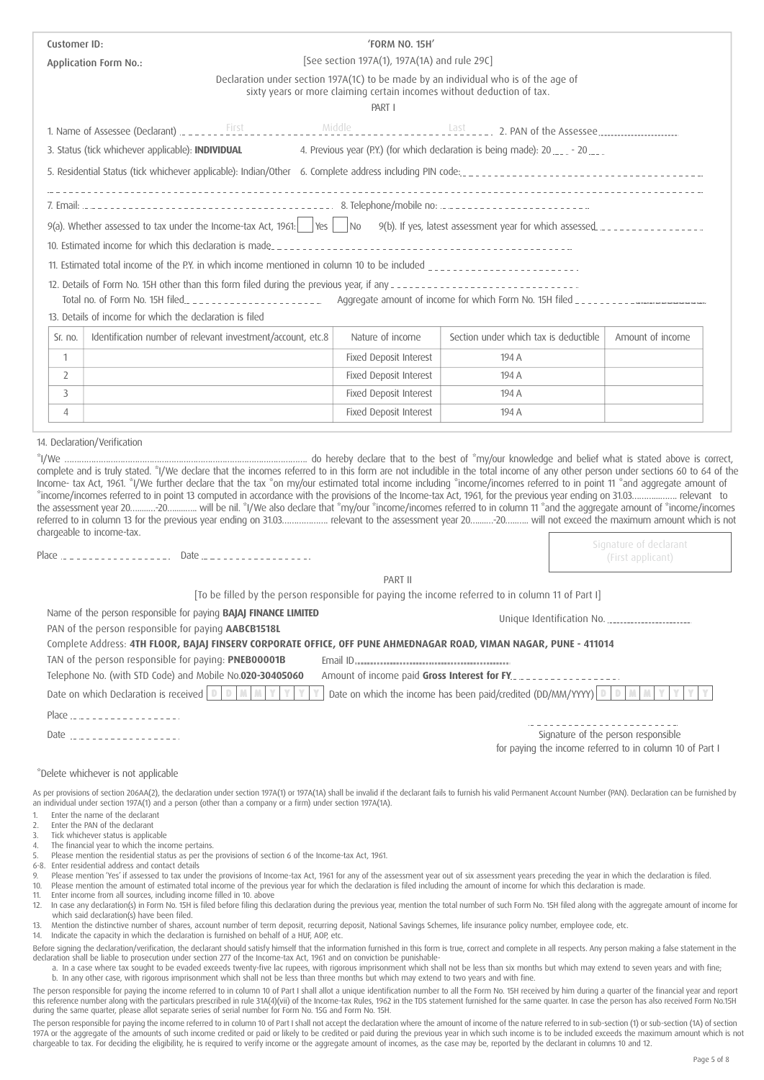| Customer ID: |                                                                                                                                                                                                                                                                                                                                                | 'FORM NO. 15H'                               |                                                                                                                                                               |                                                          |
|--------------|------------------------------------------------------------------------------------------------------------------------------------------------------------------------------------------------------------------------------------------------------------------------------------------------------------------------------------------------|----------------------------------------------|---------------------------------------------------------------------------------------------------------------------------------------------------------------|----------------------------------------------------------|
|              | <b>Application Form No.:</b>                                                                                                                                                                                                                                                                                                                   | [See section 197A(1), 197A(1A) and rule 29C] |                                                                                                                                                               |                                                          |
|              |                                                                                                                                                                                                                                                                                                                                                | PART I                                       | Declaration under section 197A(1C) to be made by an individual who is of the age of<br>sixty years or more claiming certain incomes without deduction of tax. |                                                          |
|              |                                                                                                                                                                                                                                                                                                                                                |                                              |                                                                                                                                                               |                                                          |
|              | 3. Status (tick whichever applicable): INDIVIDUAL                                                                                                                                                                                                                                                                                              |                                              | 4. Previous year (P.Y.) (for which declaration is being made): 20  - 20                                                                                       |                                                          |
|              |                                                                                                                                                                                                                                                                                                                                                |                                              |                                                                                                                                                               |                                                          |
|              |                                                                                                                                                                                                                                                                                                                                                |                                              |                                                                                                                                                               |                                                          |
|              |                                                                                                                                                                                                                                                                                                                                                |                                              |                                                                                                                                                               |                                                          |
|              |                                                                                                                                                                                                                                                                                                                                                |                                              |                                                                                                                                                               |                                                          |
|              | 10. Estimated income for which this declaration is made                                                                                                                                                                                                                                                                                        |                                              |                                                                                                                                                               |                                                          |
|              |                                                                                                                                                                                                                                                                                                                                                |                                              |                                                                                                                                                               |                                                          |
|              | 12. Details of Form No. 15H other than this form filed during the previous year, if any ------------------------------<br>13. Details of income for which the declaration is filed                                                                                                                                                             |                                              |                                                                                                                                                               |                                                          |
| Sr. no.      | Identification number of relevant investment/account, etc.8                                                                                                                                                                                                                                                                                    | Nature of income                             | Section under which tax is deductible                                                                                                                         | Amount of income                                         |
| $\mathbf{1}$ |                                                                                                                                                                                                                                                                                                                                                | Fixed Deposit Interest                       | 194 A                                                                                                                                                         |                                                          |
| 2            |                                                                                                                                                                                                                                                                                                                                                | Fixed Deposit Interest                       | 194 A                                                                                                                                                         |                                                          |
| 3            |                                                                                                                                                                                                                                                                                                                                                | Fixed Deposit Interest                       | 194 A                                                                                                                                                         |                                                          |
| 4            |                                                                                                                                                                                                                                                                                                                                                | Fixed Deposit Interest                       | 194 A                                                                                                                                                         |                                                          |
|              |                                                                                                                                                                                                                                                                                                                                                |                                              |                                                                                                                                                               |                                                          |
|              | the assessment year 20 20 will be nil. "I/We also declare that "my/our "income/incomes referred to in column 11 "and the aggregate amount of "income/incomes<br>referred to in column 13 for the previous year ending on 31.03 relevant to the assessment year 20 vill not exceed the maximum amount which is not<br>chargeable to income-tax. |                                              |                                                                                                                                                               |                                                          |
|              |                                                                                                                                                                                                                                                                                                                                                |                                              |                                                                                                                                                               | Signature of declarant<br>(First applicant)              |
|              |                                                                                                                                                                                                                                                                                                                                                | PART II                                      |                                                                                                                                                               |                                                          |
|              | Name of the person responsible for paying <b>BAJAJ FINANCE LIMITED</b>                                                                                                                                                                                                                                                                         |                                              | [To be filled by the person responsible for paying the income referred to in column 11 of Part I]                                                             |                                                          |
|              | PAN of the person responsible for paying AABCB1518L                                                                                                                                                                                                                                                                                            |                                              | Unique Identification No.                                                                                                                                     |                                                          |
|              | Complete Address: 4TH FLOOR, BAJAJ FINSERV CORPORATE OFFICE, OFF PUNE AHMEDNAGAR ROAD, VIMAN NAGAR, PUNE - 411014                                                                                                                                                                                                                              |                                              |                                                                                                                                                               |                                                          |
|              | TAN of the person responsible for paying: PNEB00001B                                                                                                                                                                                                                                                                                           |                                              |                                                                                                                                                               |                                                          |
|              | Telephone No. (with STD Code) and Mobile No.020-30405060<br>Date on which Declaration is received $\left  \ \mathbb{D} \ \right $<br>$\mathbb{D}$                                                                                                                                                                                              | Amount of income paid Gross Interest for FY. | Date on which the income has been paid/credited (DD/MM/YYYY) $\Box$                                                                                           |                                                          |
|              | Place                                                                                                                                                                                                                                                                                                                                          |                                              |                                                                                                                                                               |                                                          |
|              |                                                                                                                                                                                                                                                                                                                                                |                                              |                                                                                                                                                               | Signature of the person responsible                      |
|              |                                                                                                                                                                                                                                                                                                                                                |                                              |                                                                                                                                                               | for paying the income referred to in column 10 of Part I |
|              | *Delete whichever is not applicable                                                                                                                                                                                                                                                                                                            |                                              |                                                                                                                                                               |                                                          |
|              | As per provisions of section 206AA(2), the declaration under section 197A(1) or 197A(1A) shall be invalid if the declarant fails to furnish his valid Permanent Account Number (PAN). Declaration can be furnished by<br>an individual under section 197A(1) and a person (other than a company or a firm) under section 197A(1A).             |                                              |                                                                                                                                                               |                                                          |
| 1.           | Enter the name of the declarant                                                                                                                                                                                                                                                                                                                |                                              |                                                                                                                                                               |                                                          |
| 2.<br>3.     | Enter the PAN of the declarant<br>Tick whichever status is applicable                                                                                                                                                                                                                                                                          |                                              |                                                                                                                                                               |                                                          |
| 4.<br>5.     | The financial year to which the income pertains.<br>Please mention the residential status as per the provisions of section 6 of the Income-tax Act, 1961.                                                                                                                                                                                      |                                              |                                                                                                                                                               |                                                          |
| 9.           | 6-8. Enter residential address and contact details<br>Please mention 'Yes' if assessed to tax under the provisions of Income-tax Act, 1961 for any of the assessment year out of six assessment years preceding the year in which the declaration is filed.                                                                                    |                                              |                                                                                                                                                               |                                                          |
| 11.          | 10. Please mention the amount of estimated total income of the previous year for which the declaration is filed including the amount of income for which this declaration is made.<br>Enter income from all sources, including income filled in 10. above                                                                                      |                                              |                                                                                                                                                               |                                                          |
|              | 12. In case any declaration(s) in Form No. 15H is filed before filing this declaration during the previous year, mention the total number of such Form No. 15H filed along with the aggregate amount of income for<br>which said declaration(s) have been filed.                                                                               |                                              |                                                                                                                                                               |                                                          |
| 13.<br>14.   | Mention the distinctive number of shares, account number of term deposit, recurring deposit, National Savings Schemes, life insurance policy number, employee code, etc.<br>Indicate the capacity in which the declaration is furnished on behalf of a HUF, AOP, etc.                                                                          |                                              |                                                                                                                                                               |                                                          |

Before signing the declaration/verification, the declarant should satisfy himself that the information furnished in this form is true, correct and complete in all respects. Any person making a false statement in the declaration shall be liable to prosecution under section 277 of the Income-tax Act, 1961 and on conviction be punishable-

a. In a case where tax sought to be evaded exceeds twenty-five lac rupees, with rigorous imprisonment which shall not be less than six months but which may extend to seven years and with fine; b. In any other case, with rigorous imprisonment which shall not be less than three months but which may extend to two years and with fine.

The person responsible for paying the income referred to in column 10 of Part I shall allot a unique identification number to all the Form No. 15H received by him during a quarter of the financial year and report this reference number along with the particulars prescribed in rule 31A(4)(vii) of the Income-tax Rules, 1962 in the TDS statement furnished for the same quarter. In case the person has also received Form No.15H during the same quarter, please allot separate series of serial number for Form No. 15G and Form No. 15H.

The person responsible for paying the income referred to in column 10 of Part I shall not accept the declaration where the amount of income of the nature referred to in sub-section (1) or sub-section (1A) of section 197A or the aggregate of the amounts of such income credited or paid or likely to be credited or paid during the previous year in which such income is to be included exceeds the maximum amount which is not chargeable to tax. For deciding the eligibility, he is required to verify income or the aggregate amount of incomes, as the case may be, reported by the declarant in columns 10 and 12.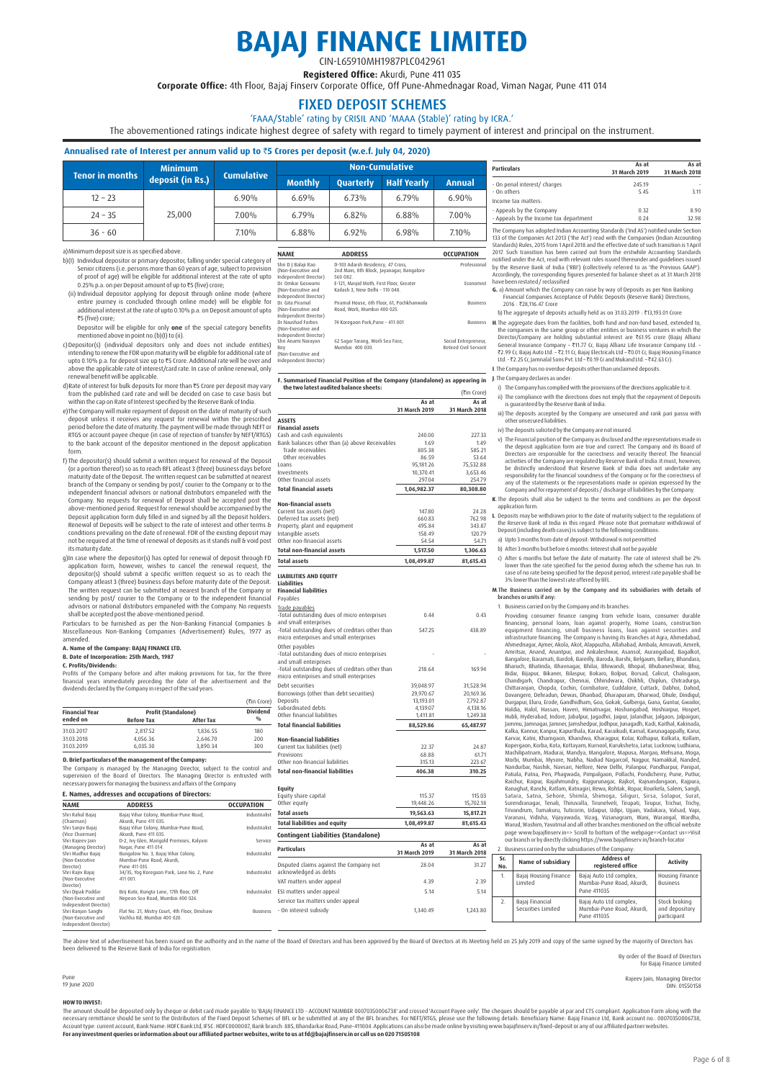# **BAJAJ FINANCE LIMITED**

CIN-L65910MH1987PLC042961 Registered Office: Akurdi, Pune 411 035

Corporate Office: 4th Floor, Bajaj Finsery Corporate Office, Off Pune-Ahmednagar Road, Viman Nagar, Pune 411 014

### FIXED DEPOSIT SCHEMES

'FAAA/Stable' rating by CRISIL AND 'MAAA (Stable)' rating by ICRA.'

The abovementioned ratings indicate highest degree of safety with regard to timely payment of interest and principal on the instrument.

### **Annualised rate of Interest per annum valid up to** `**5 Crores per deposit (w.e.f. July 04, 2020)**

|           | <b>Minimum</b>                      | Non-Cumulative<br><b>Cumulative</b> |                |                  |                    |          |
|-----------|-------------------------------------|-------------------------------------|----------------|------------------|--------------------|----------|
|           | Tenor in months<br>deposit (in Rs.) |                                     | <b>Monthly</b> | <b>Ouarterly</b> | <b>Half Yearly</b> | Annual   |
| $12 - 23$ |                                     | 6.90%                               | 6.69%          | 6.73%            | 6.79%              | $6.90\%$ |
| $24 - 35$ | 25,000                              | 7.00%                               | 6.79%          | 6.82%            | 6.88%              | 7.00%    |
| $36 - 60$ |                                     | 7.10%                               | 6.88%          | 6.92%            | 6.98%              | 7.10%    |

a) Minimum deposit size is as specified above.

- b)(I) Individual depositor or primary depositor, falling under special category of<br>Senior citizens, (i.e. persons more than 60 years of age, subject to provision<br>of proof of age) will be eligible for additional interest at Shri D
- (ii) Individual depositor applying for deposit through online mode (where entire journey is concluded through o<br>entire journey is concluded through online mode) will be eligible for<br>additional interest at the rate of upto ₹5 (five) crore;
	- Depositor will be eligible for only **one** of the special category benefits mentioned above in point no.(b)(I) to (ii). (Non-
- c)Depositor(s) (individual depositors only and does not include entities)<br>intending to renew the FDR upon maturity will be eligible for additional rate of<br>upto 0.10% p.a. for deposit size up to ₹5 Crore. Additional rate wi above the applicable rate of interest/card rate. In case of online renewal, only renewal benefit will be applicable.
- d)Rate of interest for bulk deposits for more than ₹5 Crore per deposit may vary from the published card rate and will be decided on case to case basis but
- within the cap on Rate of Interest specified by the Reserve Bank of India.<br>e)The Company will make repayment of deposit on the date of maturity of such<br>deposit unless it receives any request for renewal within the period before the date of maturity. The payment will be made through NEFT or RTGS or account payee cheque (in case of rejection of transfer by NEFT/RTGS) to the bank account of the depositor mentioned in the deposit application form.
- f) The depositor(s) should submit a written request for renewal of the Deposit (or a portion thereof) so as to reach BFL atleast 3 (three) business days before maturity date of the Deposit. The written request can be submitted at nearest branch of the Company or sending by post/courier to the Company or to the<br>independent financial advisors or national distributors empaneled with the<br>Company. No requests for renewal of Deposit shall be accepted post the<br>ab Deposit application form duly filled in and signed by all the Deposit holders.<br>Renewal of Deposits will be subject to the rate of interest and other terms &<br>conditions prevailing on the date of renewal. FDR of the existing its maturity date.
- g)In case where the depositor(s) has opted for renewal of deposit through FD application form, however, wishes to cancel the renewal request, the depositor(s) should submit a specific written request so as to reach the<br>Company atleast 3 (three) business days before maturity date of the Deposit.<br>The written request can be submitted at nearest branch of the Company or sending by post/ courier to the Company or to the independent financial advisors or national distributors empaneled with the Company. No requests shall be accepted post the above-mentioned period.

Particulars to be furnished as per the Non-Banking Financial Companies & Miscellaneous Non-Banking Companies (Advertisement) Rules, 1977 as amended.

### **A. Name of the Company: BAJAJ FINANCE LTD. B. Date of Incorporation: 25th March, 1987**

**C. Profits/Dividends:**

Profits of the Company before and after making provisions for tax, for the three financial years immediately preceding the date of the advertisement and the dividends declared by the Company in respect of the said years.

|                       |                            |                  | (₹in Crore)   |
|-----------------------|----------------------------|------------------|---------------|
| <b>Financial Year</b> | <b>Profit (Standalone)</b> | Dividend         |               |
| ended on              | <b>Before Tax</b>          | <b>After Tax</b> | $\frac{0}{0}$ |
| 31.03.2017            | 2.817.52                   | 1.836.55         | 180           |
| 31.03.2018            | 4.056.36                   | 2.646.70         | 200           |
| 31.03.2019            | 6.035.30                   | 3.890.34         | 300           |

**D. Brief particulars of the management of the Company:** The Company is managed by the Managing Director, subject to the control and<br>supervision of the Board of Directors. The Managing Director is entrusted with<br>necessarypowersformanaging.the.business.and.affairs.of.the.Company.

### **E. Names, addresses and occupations of Directors:**

| <b>NAME</b>           | <b>ADDRESS</b>                                | <b>OCCUPATION</b> | Other equity                               |
|-----------------------|-----------------------------------------------|-------------------|--------------------------------------------|
| Shri Rahul Baiai      | Baiai Vihar Colony, Mumbai-Pune Road,         | Industrialist     | <b>Total assets</b>                        |
| (Chairman)            | Akurdi, Pune 411 035.                         |                   | <b>Total liabilities and equity</b>        |
| Shri Sanjiv Bajaj     | Baiai Vihar Colony, Mumbai-Pune Road,         | Industrialist     |                                            |
| (Vice Chairman)       | Akurdi, Pune 411 035.                         |                   | <b>Contingent Liabilities (Standalone)</b> |
| Shri Rajeev Jain      | D-2, Ivy Glen, Marigold Premises, Kalyani     | Service           |                                            |
| (Managing Director)   | Nagar, Pune 411 014.                          |                   | <b>Particulars</b>                         |
| Shri Madhur Baiai     | Bungalow No. 3, Bajaj Vihar Colony,           | Industrialist     |                                            |
| (Non-Executive        | Mumbai-Pune Road, Akurdi,                     |                   |                                            |
| Director)             | Pune 411 035                                  |                   | Disputed claims against the Company not    |
| Shri Rajiv Bajaj      | 34/35. Yog Koregaon Park, Lane No. 2. Pune    | Industrialist     | acknowledged as debts                      |
| (Non-Executive        | 411 001.                                      |                   | VAT matters under appeal                   |
| Director)             |                                               |                   |                                            |
| Shri Dipak Poddar     | Brij Kutir, Rungta Lane, 17th floor, Off      | Industrialist     | ESI matters under appeal                   |
| (Non-Executive and    | Nepean Sea Road, Mumbai 400 026.              |                   | Service tax matters under appeal           |
| Independent Director) |                                               |                   |                                            |
| Shri Ranjan Sanghi    | Flat No. 21, Mistry Court, 4th Floor, Dinshaw | <b>Business</b>   | - On interest subsidy                      |
| (Non-Executive and    | Vachha Rd: Mumbai 400 020.                    |                   |                                            |
| Independent Director) |                                               |                   |                                            |

| 6.88%                                                                    | 697%                                                                                      | 6.98%           | 7.10%                                         |
|--------------------------------------------------------------------------|-------------------------------------------------------------------------------------------|-----------------|-----------------------------------------------|
| <b>NAME</b>                                                              | <b>ADDRESS</b>                                                                            |                 | <b>OCCUPATION</b>                             |
| Shri D I Balaii Rao<br>(Non-Executive and<br>Independent Director)       | D-103 Adarsh Residency, 47 Cross,<br>2nd Main, 8th Block, Jayanagar, Bangalore<br>560 082 | Professional    |                                               |
| Dr. Omkar Goswami<br>(Non-Executive and<br>Independent Director)         | E-121. Masiid Moth. First Floor. Greater<br>Kailash 3. New Delhi - 110 048.               | Fronomist       |                                               |
| Dr. Gita Piramal<br>(Non-Executive and<br>Independent Director)          | Piramal House, 6th Floor, 61, Pochkhanwala<br>Road, Worli, Mumbai 400 025.                | <b>Business</b> |                                               |
| Dr Naushad Forbes<br>(Non-Executive and<br>Independent Director)         | 74 Koregaon Park.Pune - 411 001                                                           |                 | <b>Business</b>                               |
| Shri Anami Naravan<br>Rov<br>(Non-Executive and<br>Independent Director) | 62 Sagar Tarang, Worli Sea Face,<br>Mumbai 400 030.                                       |                 | Social Entrepreneur,<br>Retired Civil Servant |

### **F. Summarised Financial Position of the Company (standalone) as appearing in J**. The Company declares as under: **the two latest audited balance sheets:** (₹in Crore)

|                                                 | As at<br>31 March 2019 | As at<br>31 March 2018 |
|-------------------------------------------------|------------------------|------------------------|
|                                                 |                        |                        |
| <b>ASSETS</b><br><b>Financial assets</b>        |                        |                        |
| Cash and cash equivalents                       | 240.00                 | 227.33                 |
| Bank balances other than (a) above Receivables  | 1.69                   | 1.49                   |
| Trade receivables                               | 805.38                 | 585.21                 |
| Other receivables                               | 86.59                  | 53.64                  |
| Loans                                           | 95,181.26              | 75,532.88              |
| Investments                                     | 10,370.41              | 3,653.46               |
| Other financial assets                          | 297.04                 | 254.79                 |
| <b>Total financial assets</b>                   | 1,06,982.37            | 80,308.80              |
| <b>Non-financial assets</b>                     |                        |                        |
| Current tax assets (net)                        | 147.80                 | 24.28                  |
| Deferred tax assets (net)                       | 660.83                 | 762.98                 |
| Property, plant and equipment                   | 495.84                 | 343.87                 |
| Intangible assets                               | 158.49                 | 120.79                 |
| Other non-financial assets                      | 54.54                  | 54.71                  |
| <b>Total non-financial assets</b>               | 1,517.50               | 1,306.63               |
| <b>Total assets</b>                             | 1,08,499.87            | 81,615.43              |
| <b>LIABILITIES AND EQUITY</b>                   |                        |                        |
| <b>Liabilities</b>                              |                        |                        |
| <b>Financial liabilities</b>                    |                        |                        |
| Pavables                                        |                        |                        |
| Trade payables                                  |                        |                        |
| -Total outstanding dues of micro enterprises    | 0.44                   | 0.43                   |
| and small enterprises                           |                        |                        |
| -Total outstanding dues of creditors other than | 547.25                 | 438.89                 |
| micro enterprises and small enterprises         |                        |                        |
| Other payables                                  |                        |                        |
| -Total outstanding dues of micro enterprises    |                        |                        |
| and small enterprises                           |                        |                        |
| -Total outstanding dues of creditors other than | 218.64                 | 169.94                 |
| micro enterprises and small enterprises         |                        |                        |
| Debt securities                                 | 39,048.97              | 31,528.94              |
| Borrowings (other than debt securities)         | 29,970.67              | 20,169.36              |
| Deposits                                        | 13,193.01              | 7,792.87               |
| Subordinated debts                              | 4,139.07               | 4,138.16               |
| Other financial liabilities                     | 1,411.81               | 1,249.38               |
| <b>Total financial liabilities</b>              | 88,529.86              | 65,487.97              |
| <b>Non-financial liabilities</b>                |                        |                        |
| Current tax liabilities (net)                   | 22.37                  | 24.87                  |
| Provisions                                      | 68.88                  | 61.71                  |
| Other non-financial liabilities                 | 315.13                 | 223.67                 |
| <b>Total non-financial liabilities</b>          | 406.38                 | 310.25                 |
|                                                 |                        |                        |
| <b>Equity</b>                                   |                        |                        |
| Equity share capital<br>Other equity            | 115.37<br>19,448.26    | 115.03<br>15,702.18    |
| <b>Total assets</b>                             | 19,563.63              | 15,817.21              |
| <b>Total liabilities and equity</b>             | 1,08,499.87            | 81.615.43              |
| Contingent Liabilities (Standalone)             |                        |                        |
|                                                 | As at                  | As at                  |
| <b>Particulars</b>                              | 31 March 2019          | 31 March 2018          |

| <b>Particulars</b>                     | As at<br>31 March 2019 | As at<br>31 March 2018 |  |
|----------------------------------------|------------------------|------------------------|--|
| - On penal interest/ charges           | 245.19                 |                        |  |
| - On others                            | 5.45                   | 3.11                   |  |
| Income tax matters:                    |                        |                        |  |
| - Appeals by the Company               | 0.32                   | 8.90                   |  |
| - Appeals by the Income tax department | 0.24                   | 32.98                  |  |

The Company has adopted Indian Accounting Standards ('Ind AS') notified under Section 133 of the Companies Act 2013 ('the Act') read with the Companies (Indian Accounting<br>Standards) Rules, 2015 from 1 April 2018 and the effective date of such transition is 1 April<br>2017. Such transition has been carried out **Professional** 

**G.** a) Amount which the Company can raise by way of Deposits as per Non Banking Financial Companies Acceptance of Public Deposits (Reserve Bank) Directions, 2016 : ₹28,116.47 Crore

b) The aggregate of deposits actually held as on 31.03.2019 : ₹13,193.01 Crore

**H**. The aggregate dues from the facilities, both fund and non-fund based, extended to, the companies in the same group or other entities or business ventures in which the<br>Director/Company are holding substantial interest are ₹61.95 crore (Bajaj Allianz<br>General Insurance Company - ₹11.77 Cr, Bajaj Allianz Lif

**I**. The Company has no overdue deposits other than unclaimed deposits.

i) The Company has complied with the provisions of the directions applicable to it.

ii) The compliance with the directions does not imply that the repayment of Deposits is guaranteed by the Reserve Bank of India.

iii) The deposits accepted by the Company are unsecured and rank pari passu with other unsecured liabilities.

ir) The deposits solicited by the Company are not insured.<br>
y) The Financial position of the Company as disclosed and the representations made in<br>
the deposit application form are true and correct. The Company and its Boar

**K**. The deposits shall also be subject to the terms and conditions as per the deposit application form.

L. Deposits may be withdrawn prior to the date of maturity subject to the regulations of<br>the Reserve Bank of India in this regard. Please note that premature withdrawal of<br>Deposit (including death cases) is subject to the

a) Upto 3 months from date of deposit: Withdrawal is not permitted

b) After 3 months but before 6 months: Interest shall not be payable

c) After 6 months but before the date of maturity: The rate of interest shall be 2% lower than the rate specified for the period during which the scheme has run. In<br>case of no rate being specified for the deposit period, interest rate payable shall be<br>3% lower than the lowest rate offered by BFL.

**M**.The Business carried on by the Company and its subsidiaries with details of branches or units if any:

1. Business carried on by the Company and its branches:<br>
Figuresia carried only the Company and its branching, small than financing, personal loans, consumer dirabitancing, small business loans, ions against securities and Raichur, Raipur, Rajahmundry, Rajayrunagar, Rajkot, Rajnandangaon, Rajpura,<br>Ranaghat, Ranchi, Ratlam, Ratnagiri, Rewa, Rohtak, Ropar, Rourkela, Salem, Sangli,<br>Satara, Satna, Sehore, Shimla, Shimoga, Siliguri, Sirsa, Solapu Varanasi, Vidisha, Vijayawada, Vizag, Vizianagram, Wani, Warangal, Wardha, Warud, Washim, Yavatmal and all other branches mentioned on the official website page www.bajajfinserv.in=> Scroll to bottom of the webpage=>Contact us=>Visit our branch or by directly clicking https://www.bajajfinserv.in/branch-locator

2. Business carried on by the subsidiaries of the Company:

| <b>2010</b>  |            |                                         |                                                                     |                                                |
|--------------|------------|-----------------------------------------|---------------------------------------------------------------------|------------------------------------------------|
| 31.27        | Sr.<br>No. | Name of subsidiary                      | <b>Address of</b><br>registered office                              | <b>Activity</b>                                |
| 2.39<br>5.14 | 1.         | Baiai Housing Finance<br><b>Limited</b> | Bajaj Auto Ltd complex,<br>Mumbai-Pune Road, Akurdi,<br>Pune 411035 | Housing Finance<br><b>Business</b>             |
| 43.80        | 2.         | Bajaj Financial<br>Securities Limited   | Bajaj Auto Ltd complex,<br>Mumbai-Pune Road, Akurdi,<br>Pune 411035 | Stock broking<br>and depository<br>participant |

The above text of advertisement has been issued on the authority and in the name of the Board of Directors and has been approved by the Board of Directors at its Meeting held on 25 July 2019 and copy of the same signed by been as a serior members of the Reserve Bank of India for registrati

28.04  $4.39$ 5.14 1,340.49

<sup>2</sup> 5.14 1,243.80

By order of the Board of Direct for Bajaj Finance Limited

Rajeev Jain, Managing Director DIN: 01550158

### Pune 19 June 2020 **HOWTO INVEST:**

The amount should be deposited only by cheque or debit card made payable to 'BAJA FINANCE LTD - ACCOUNT NUMBER 00070350006738' and crossed 'Account Payee only.' The cheques should be payable at parand CTS compliant. Applic **Foranyinvestment queries orinformation about ouraffiliated partnerwebsites, write to us at fd@bajajfinserv.in or call us on 020 71505108**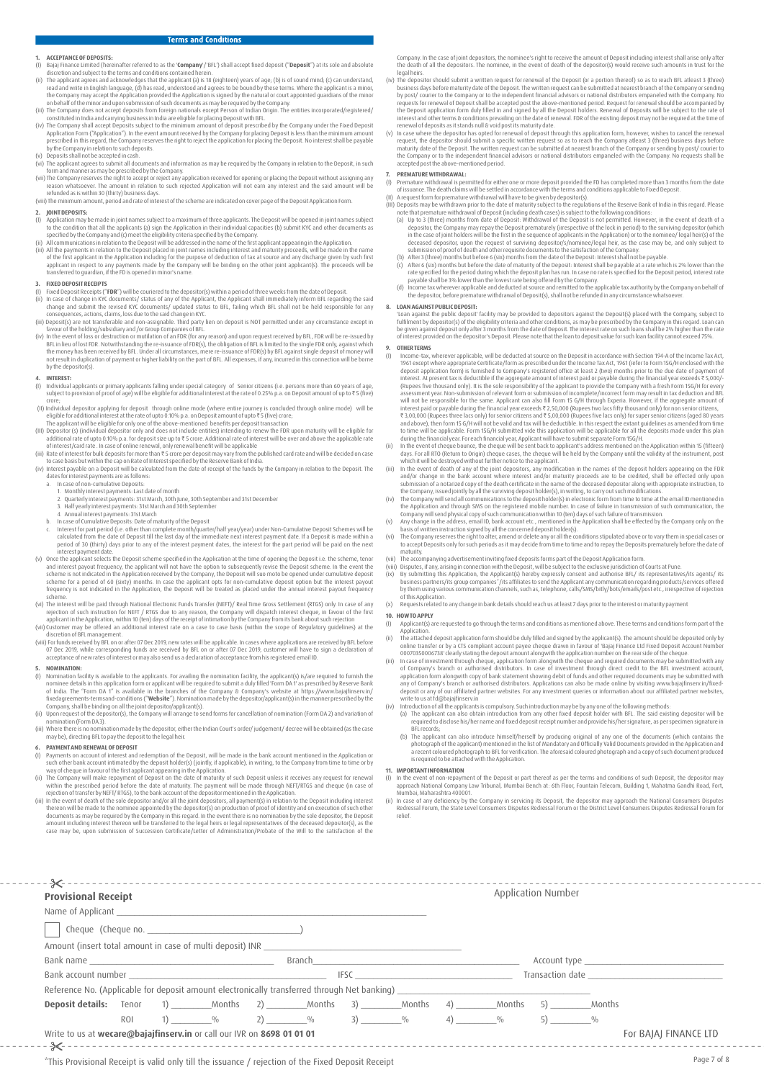### **1. ACCEPTANCE OF DEPOSITS**<br>(I) Bajaj Finance Limited (here

- (I) Bajaj Finance Limited (hereinafter referred to as the '**Company**'/'BFL') shall accept fixed deposit ("**Deposit**") at its sole and absolute (I) Bajaj Finance Limited (hereinafter referred to as the '**Company'**/'BFL') shall accept fixed deposit ("**Deposit**") at its sole and absolute<br>discretion and subject to the terms and conditions contained herein.<br>(ii) The a
- (ii) The applicant agrees and acknowledges that the applicant (a) is 18 (eighteen) years of age; (b) is of sound mind; (c) can understood, and agrees to be bound by these terms. Where the applicant is a minor, the Compary
- 
- by the Company in relation to such deposits. (v) Deposits shall not be accepted in cash.
- (vi) The applicant agrees to submit all documents and information as may be required by the Company in relation to the Deposit, in such form and manner as may be prescribed by the Company.
- (vii) The Company reserves the right to accept or reject any application received for opening or placing the Deposit without assigning any<br>reason whatsoever. The amount in relation to such rejected Application will not ear

- **2. JOINT DEPOSITS**<br>(I) Application may (I) Application may be made in joint names subject to a maximum of three applicants. The Deposit will be opened in joint names subject to the condition that all the copticantion in their individual capacities (b) submit KY
- (ii) All communications in relation to the Deposit will be addressed in the name of the first applicant appearing in the Application.<br>(iii) All the payments in relation to the Deposit placed in joint names including intere of the first applicant in the Application including for the purpose of deduction of tax at source and any discharge given by such first applicant in respect to any payments made by the Company will be binding on the other joint applicant(s). The proceeds will be<br>transferred to guardian, if the FD is opened in minor's name.

- **3. FIXED DEPOSIT RECEIPTS**<br>(i) Fixed Deposite.<br>(ii) In case of change in KYC documents/ status of any of the Applicant, the Applicant shall immediately inform BFL regarding the said<br>(ii) In case of change in KYC documents
- favour of the holding/subsidiary and /or Group Companies of BFL.
- (iv) In the event of loss or destruction or mutilation of an FDR (for any reason) and upon request received by BFL, FDR will be re-issued by<br>BFL in lieu of lost FDR (be place of DR(s), the obligation of BFL is limited to t by the depositor(s).

### **4. INTEREST:**

- (I) Individual applicants or primary applicants falling under special category of Senior citizens (i.e. persons more than 60 years of age,<br>subject to provision of proof of age) will be eligible for additional interest a
- (ii) individual depositor applying for deposit through online mode (where entire journey is concluded through online mode) will be
- 
- (II) individual depositor applying for deposit through online mode (where entire journey is concluded through online mode) will be eligible for additional interest at the rate of upto 0.10% p.a. on Deposit amount of upto
- 
- dates for interest payments are as follows:<br>a. In case of non-cumulative Deposits:
	- In case of non-cumulative Deposits:<br>1. Monthly interest payments: Last date of month
		-
	-
	-
- 1. Monthly interest payments: 1st date of month<br>2. Quarterly interest payments: 131st March , 30th June, 30th September and 31st December<br>3. Half yearly interest payments: 31st March and 30th September<br>4. Annual interest p nterest payment date
- (v) Once the applicant selects the Deposit scheme specified in the Application at the time of opening the Deposit i.e. the scheme, tenor and interest payout frequency, the applicant will not have the option to subsequently revise the Deposit scheme. In the event the<br>scheme is not indicated in the Application received by the Company, the Deposit will suo mot
- scheme.<br>(vi) The interest will be paid through National Electronic Funds Transfer (NEFT)/ Real Time Gross Settlement (RTGS) only. In case of any<br>rejection of such instruction for NEFT / RTGS due to any reason, the Company
- (vii) Customer may be offered an additional interest rate on a case to case basis (within the scope of Regulatory guidelines) at the discretion of BFL management. (viii) Forfunds received by BFL on or after 07 Dec 2019, new rates will be applicable. In cases where applications are received by BFL before
- 07 Dec 2019, while corresponding funds are received by BFL on or after 07 Dec 2019, customer will have to sign a declaration of<br>acceptance of new rates of interest or may also send us a declaration of acceptance from his r

- **5. NOMINATION:**<br>(I) Nomination facility is available to the applicants. For availing the nomination facility, the applicant(s) is/are required to furnish the<br>nomine details in this application form or applicant will be re
- (ii) Upon request of the depositor(s), the Companywill arrange to send forms for cancellation of nomination (Form DA 2) and variation of nination (Form DA3).
- (iii) Where there is no nomination made by the depositor, eitherthe Indian Court's order/ judgement/ decree will be obtained (as the case may be), directing BFL to pay the deposit to the legal heir.

- 
- **6. PAYMENT AND RENEWALO FOEPOSIT**<br>(1) Payments on account of interest and redemption of the Deposit, will be made in the bank account mentioned in the Application or<br>such other bank account intimated by the deposit holde
- iii) In the event of death of the sole depositor and/or all the joint depositors, all payment(s) in relation to the Deposit including interest<br>thereon will be made to the nominee appointed by the depositor(s) on production documents as may be required by the Company in this regard. In the event there is no nomination by the sole depositor, the Deposit<br>amount including interest thereon will be transferred to the legal heis or legal representa

Company. In the case of joint depositors, the nominee's right to receive the amount of Deposit including interest shall arise only after<br>the death of all the depositors. The nominee, in the event of death of the depositor( legal heirs.<br>(iv) The depositor should submit a written request for renewal of the Deposit (or a portion thereof) so as to reach BFL atleast 3 (three)

- (iv) The depositor should submit a written request for renewal of the Deposit (or a potion thereof) so as to reach BH. detections business days before maturity date of the Deposit. The written request can be submitted at
- 

- 
- 
- 7.<br> **PREMATURE WITHDRAWAL:**<br>
() Premature with drawal is permitted for either one or more deposit provided the FD has completed more than 3 months from the date<br>
of issuance. The death claims will be settled in accordance in the case of joint holders will be the first in the sequence of applicants in the Application) or to the nominee/ legal heir(s) of the deceased depositor, upon the request of surviving depositor/s/nominee/legal heir, as the case may be, and only subject to submission of proof of death and otherrequisite documents to the satisfaction of the Company.
- (b) After 3 (three) months but before 6 (six) months from the date of the Deposit: Interest shall not be payable.
- (c) After 6 (six) months but before the date of maturity of the Deposit: Interest shall be payable at a rate which is 2% lower than the payable shall be period during which the deposit plan has run. In case no rate is peci
- 

### **8. LOAN AGAINSTPUBLIC DEPOSIT:**

'Loan against the public deposit' facility may be provided to depositors against the Deposit(s) placed with the Company, subject to<br>fulfilment by depositor(s) of the eligibility criteria and other conditions, as may be pre be given against deposit only after 3 months from the date of Deposit. The interest rate on such loans shall be 2% higher than the rate of interest provided on the depositor's Deposit. Please note that the loan to deposit value for such loan facility cannot exceed 75%.

- 9. **OTHER TERMS**<br>() Income-tax, wherever applicable, will be deducted at source on the Deposit in accordance with Section 194-A of the Income Tax Act, 1961 (see to Form 156/H endosed with the deposit applicable with the de
- interest paid or payable during the financial year, exceeds ₹ 2,50,000 (Rupees two lost first those) for a meson citizens, and exploiting the financial year, and a sponsor of the specifical screen and a specific stream an
- 
- and/or change in the bank account where interest and/or maturity proceeds are to be credited, shall be effected only upon<br>submission of a notarized copy of the death certificate in the name of the decased depositor along w
- 
- 
- maturity.<br>The accompanying advertisement inviting fixed deposits forms part of the Deposit Application form
- 
- (vii) The accompanying advertisement inviting fixed deposits forms part of the Deposit Application of Courts at Pune.<br>(viii) Disputes, if any arising in connection with the Deposit, will be subject to the exclusive jurisdi
- 
- 

# **10. HOWTO APPLY**<br>(I) Applicant(s)

- Applicant(s) are requested to go through the terms and conditions as mentioned above. These terms and conditions form part of the Application. (ii) The attached deposit application form should be duly filled and signed by the applicant(s). The amount should be deposited only by
- 
- online transfer or by a CIS compliant account Payee cheque drawn in favour of 'Bajaj Finance Ltd Fixed Deposit Account Number<br>(iii) In case of investment through cheque, application momehopy then epilication number on the
- 
- 
- (b) The applicant can also introduce himself/herself by producing original of any one of the documents (which contains the photograph of the applicant) mentioned in the list of Mandatory and Officially Valid Documents prov

- **11. IMPORTANTINFORMATION**<br>()) In the event of non-repayment of the Deposit or part thereof as per the terms and conditions of such Deposit, the depositor may<br>approach National Company Law Tribunal, Mumbai Bench at: 6th Fl
- (ii) In case of any deficiency by the Company in servicing its Deposit, the depositor may approach the National Consumers Disputes Redressal Forum, the State Level Consumers Disputes Redressal Forum or the District Level Consumers Disputes Redressal Forum for relief.

| <b>Provisional Receipt</b>                                                                                     |     |  |  |  |                                                                                                                                                                                                                                                                                               |  |                          |                     | Application Number                                                                                                                                                                                                                                                                                                  |                                                                                                                |                       |
|----------------------------------------------------------------------------------------------------------------|-----|--|--|--|-----------------------------------------------------------------------------------------------------------------------------------------------------------------------------------------------------------------------------------------------------------------------------------------------|--|--------------------------|---------------------|---------------------------------------------------------------------------------------------------------------------------------------------------------------------------------------------------------------------------------------------------------------------------------------------------------------------|----------------------------------------------------------------------------------------------------------------|-----------------------|
|                                                                                                                |     |  |  |  |                                                                                                                                                                                                                                                                                               |  |                          |                     |                                                                                                                                                                                                                                                                                                                     |                                                                                                                |                       |
|                                                                                                                |     |  |  |  |                                                                                                                                                                                                                                                                                               |  |                          |                     |                                                                                                                                                                                                                                                                                                                     |                                                                                                                |                       |
| Amount (insert total amount in case of multi deposit) INR                                                      |     |  |  |  |                                                                                                                                                                                                                                                                                               |  |                          |                     |                                                                                                                                                                                                                                                                                                                     |                                                                                                                |                       |
| Branch and the contract of the contract of the contract of the contract of the contract of the contract of the |     |  |  |  |                                                                                                                                                                                                                                                                                               |  |                          |                     |                                                                                                                                                                                                                                                                                                                     |                                                                                                                |                       |
|                                                                                                                |     |  |  |  |                                                                                                                                                                                                                                                                                               |  | <b>IFSC Example 2008</b> |                     |                                                                                                                                                                                                                                                                                                                     | Transaction date and the state of the state of the state of the state of the state of the state of the state o |                       |
|                                                                                                                |     |  |  |  |                                                                                                                                                                                                                                                                                               |  |                          |                     |                                                                                                                                                                                                                                                                                                                     |                                                                                                                |                       |
|                                                                                                                |     |  |  |  |                                                                                                                                                                                                                                                                                               |  |                          |                     |                                                                                                                                                                                                                                                                                                                     |                                                                                                                |                       |
|                                                                                                                | ROI |  |  |  | $\frac{1}{2}$ (1) $\frac{1}{2}$ (1) $\frac{1}{2}$ (1) $\frac{1}{2}$ (1) $\frac{1}{2}$ (1) $\frac{1}{2}$ (1) $\frac{1}{2}$ (1) $\frac{1}{2}$ (1) $\frac{1}{2}$ (1) $\frac{1}{2}$ (1) $\frac{1}{2}$ (1) $\frac{1}{2}$ (1) $\frac{1}{2}$ (1) $\frac{1}{2}$ (1) $\frac{1}{2}$ (1) $\frac{1}{2}$ ( |  |                          | $(4)$ $\frac{0}{0}$ | $\frac{1}{2}$ $\frac{1}{2}$ $\frac{1}{2}$ $\frac{1}{2}$ $\frac{1}{2}$ $\frac{1}{2}$ $\frac{1}{2}$ $\frac{1}{2}$ $\frac{1}{2}$ $\frac{1}{2}$ $\frac{1}{2}$ $\frac{1}{2}$ $\frac{1}{2}$ $\frac{1}{2}$ $\frac{1}{2}$ $\frac{1}{2}$ $\frac{1}{2}$ $\frac{1}{2}$ $\frac{1}{2}$ $\frac{1}{2}$ $\frac{1}{2}$ $\frac{1}{2}$ |                                                                                                                |                       |
| Write to us at wecare@bajajfinserv.in or call our IVR on 8698 01 01 01                                         |     |  |  |  |                                                                                                                                                                                                                                                                                               |  |                          |                     |                                                                                                                                                                                                                                                                                                                     |                                                                                                                | For BAJAJ FINANCE LTD |